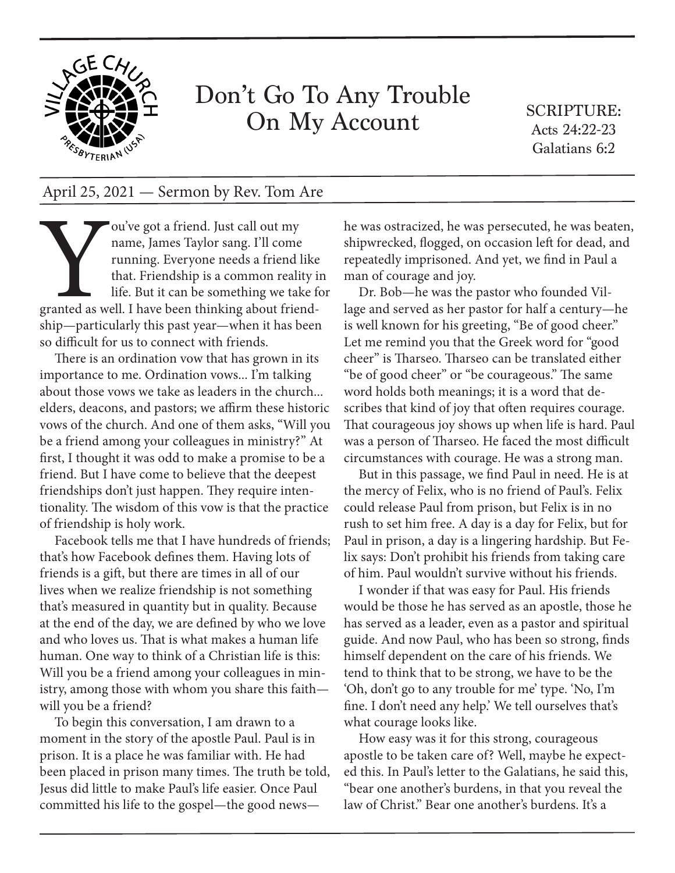

## Don't Go To Any Trouble On My Account

SCRIPTURE: Acts 24:22-23 Galatians 6:2

## April 25, 2021 — Sermon by Rev. Tom Are

ou've got a friend. Just call out my<br>
name, James Taylor sang. I'll come<br>
running. Everyone needs a friend l<br>
that. Friendship is a common reali<br>
life. But it can be something we tak<br>
granted as well. I have been thinking name, James Taylor sang. I'll come running. Everyone needs a friend like that. Friendship is a common reality in life. But it can be something we take for granted as well. I have been thinking about friendship—particularly this past year—when it has been so difficult for us to connect with friends.

There is an ordination vow that has grown in its importance to me. Ordination vows... I'm talking about those vows we take as leaders in the church... elders, deacons, and pastors; we affirm these historic vows of the church. And one of them asks, "Will you be a friend among your colleagues in ministry?" At first, I thought it was odd to make a promise to be a friend. But I have come to believe that the deepest friendships don't just happen. They require intentionality. The wisdom of this vow is that the practice of friendship is holy work.

Facebook tells me that I have hundreds of friends; that's how Facebook defines them. Having lots of friends is a gift, but there are times in all of our lives when we realize friendship is not something that's measured in quantity but in quality. Because at the end of the day, we are defined by who we love and who loves us. That is what makes a human life human. One way to think of a Christian life is this: Will you be a friend among your colleagues in ministry, among those with whom you share this faith will you be a friend?

To begin this conversation, I am drawn to a moment in the story of the apostle Paul. Paul is in prison. It is a place he was familiar with. He had been placed in prison many times. The truth be told, Jesus did little to make Paul's life easier. Once Paul committed his life to the gospel—the good newshe was ostracized, he was persecuted, he was beaten, shipwrecked, flogged, on occasion left for dead, and repeatedly imprisoned. And yet, we find in Paul a man of courage and joy.

Dr. Bob—he was the pastor who founded Village and served as her pastor for half a century—he is well known for his greeting, "Be of good cheer." Let me remind you that the Greek word for "good cheer" is Tharseo. Tharseo can be translated either "be of good cheer" or "be courageous." The same word holds both meanings; it is a word that describes that kind of joy that often requires courage. That courageous joy shows up when life is hard. Paul was a person of Tharseo. He faced the most difficult circumstances with courage. He was a strong man.

But in this passage, we find Paul in need. He is at the mercy of Felix, who is no friend of Paul's. Felix could release Paul from prison, but Felix is in no rush to set him free. A day is a day for Felix, but for Paul in prison, a day is a lingering hardship. But Felix says: Don't prohibit his friends from taking care of him. Paul wouldn't survive without his friends.

I wonder if that was easy for Paul. His friends would be those he has served as an apostle, those he has served as a leader, even as a pastor and spiritual guide. And now Paul, who has been so strong, finds himself dependent on the care of his friends. We tend to think that to be strong, we have to be the 'Oh, don't go to any trouble for me' type. 'No, I'm fine. I don't need any help.' We tell ourselves that's what courage looks like.

How easy was it for this strong, courageous apostle to be taken care of? Well, maybe he expected this. In Paul's letter to the Galatians, he said this, "bear one another's burdens, in that you reveal the law of Christ." Bear one another's burdens. It's a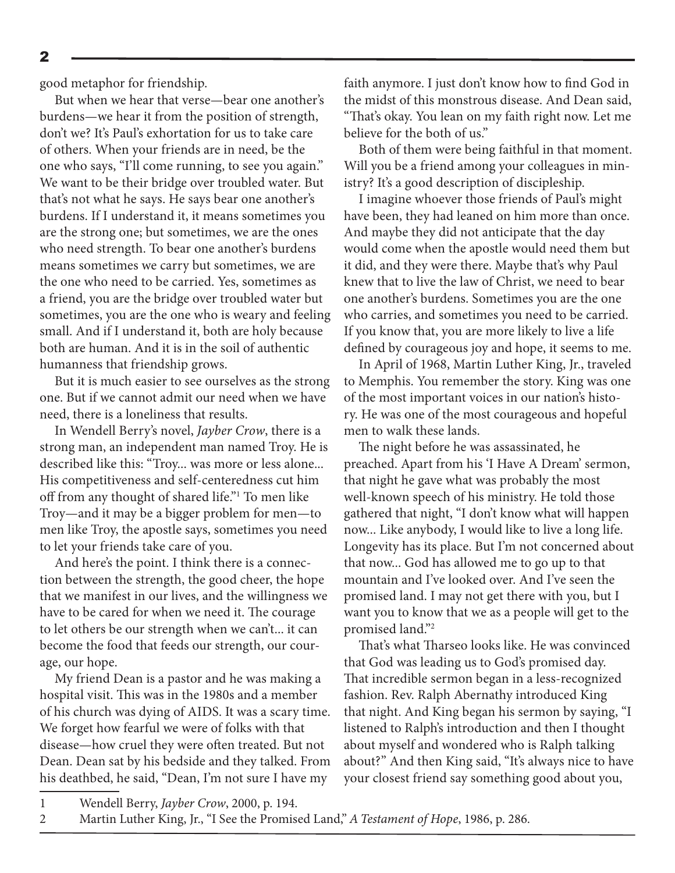2

good metaphor for friendship.

But when we hear that verse—bear one another's burdens—we hear it from the position of strength, don't we? It's Paul's exhortation for us to take care of others. When your friends are in need, be the one who says, "I'll come running, to see you again." We want to be their bridge over troubled water. But that's not what he says. He says bear one another's burdens. If I understand it, it means sometimes you are the strong one; but sometimes, we are the ones who need strength. To bear one another's burdens means sometimes we carry but sometimes, we are the one who need to be carried. Yes, sometimes as a friend, you are the bridge over troubled water but sometimes, you are the one who is weary and feeling small. And if I understand it, both are holy because both are human. And it is in the soil of authentic humanness that friendship grows.

But it is much easier to see ourselves as the strong one. But if we cannot admit our need when we have need, there is a loneliness that results.

In Wendell Berry's novel, *Jayber Crow*, there is a strong man, an independent man named Troy. He is described like this: "Troy... was more or less alone... His competitiveness and self-centeredness cut him off from any thought of shared life."1 To men like Troy—and it may be a bigger problem for men—to men like Troy, the apostle says, sometimes you need to let your friends take care of you.

And here's the point. I think there is a connection between the strength, the good cheer, the hope that we manifest in our lives, and the willingness we have to be cared for when we need it. The courage to let others be our strength when we can't... it can become the food that feeds our strength, our courage, our hope.

My friend Dean is a pastor and he was making a hospital visit. This was in the 1980s and a member of his church was dying of AIDS. It was a scary time. We forget how fearful we were of folks with that disease—how cruel they were often treated. But not Dean. Dean sat by his bedside and they talked. From his deathbed, he said, "Dean, I'm not sure I have my

faith anymore. I just don't know how to find God in the midst of this monstrous disease. And Dean said, "That's okay. You lean on my faith right now. Let me believe for the both of us."

Both of them were being faithful in that moment. Will you be a friend among your colleagues in ministry? It's a good description of discipleship.

I imagine whoever those friends of Paul's might have been, they had leaned on him more than once. And maybe they did not anticipate that the day would come when the apostle would need them but it did, and they were there. Maybe that's why Paul knew that to live the law of Christ, we need to bear one another's burdens. Sometimes you are the one who carries, and sometimes you need to be carried. If you know that, you are more likely to live a life defined by courageous joy and hope, it seems to me.

In April of 1968, Martin Luther King, Jr., traveled to Memphis. You remember the story. King was one of the most important voices in our nation's history. He was one of the most courageous and hopeful men to walk these lands.

The night before he was assassinated, he preached. Apart from his 'I Have A Dream' sermon, that night he gave what was probably the most well-known speech of his ministry. He told those gathered that night, "I don't know what will happen now... Like anybody, I would like to live a long life. Longevity has its place. But I'm not concerned about that now... God has allowed me to go up to that mountain and I've looked over. And I've seen the promised land. I may not get there with you, but I want you to know that we as a people will get to the promised land."2

That's what Tharseo looks like. He was convinced that God was leading us to God's promised day. That incredible sermon began in a less-recognized fashion. Rev. Ralph Abernathy introduced King that night. And King began his sermon by saying, "I listened to Ralph's introduction and then I thought about myself and wondered who is Ralph talking about?" And then King said, "It's always nice to have your closest friend say something good about you,

<sup>1</sup> Wendell Berry, *Jayber Crow*, 2000, p. 194.

<sup>2</sup> Martin Luther King, Jr., "I See the Promised Land," *A Testament of Hope*, 1986, p. 286.